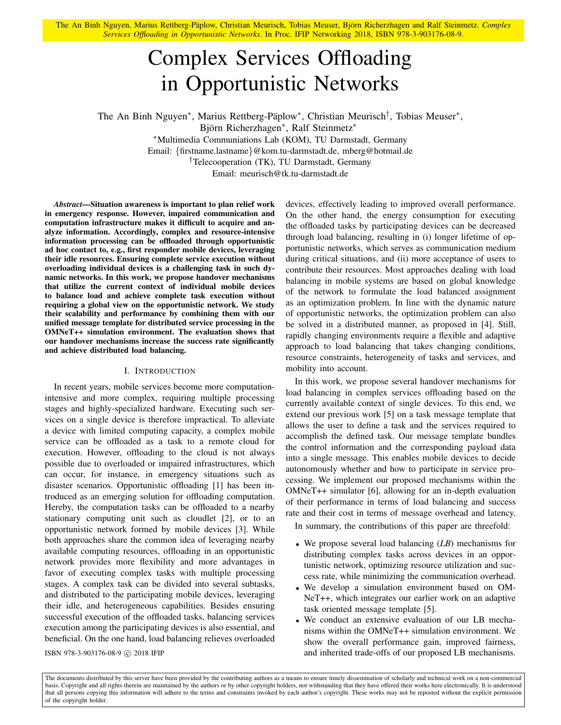The An Binh Nguyen, Marius Rettberg-Päplow, Christian Meurisch, Tobias Meuser, Björn Richerzhagen and Ralf Steinmetz. Complex *Services Offloading in Opportunistic Networks*. In Proc. IFIP Networking 2018, ISBN 978-3-903176-08-9.

# Complex Services Offloading in Opportunistic Networks

The An Binh Nguyen<sup>\*</sup>, Marius Rettberg-Päplow<sup>\*</sup>, Christian Meurisch<sup>†</sup>, Tobias Meuser<sup>\*</sup>, Björn Richerzhagen<sup>\*</sup>, Ralf Steinmetz<sup>\*</sup>

<sup>∗</sup>Multimedia Communiations Lab (KOM), TU Darmstadt, Germany Email: {firstname.lastname}@kom.tu-darmstadt.de, mberg@hotmail.de

†Telecooperation (TK), TU Darmstadt, Germany

Email: meurisch@tk.tu-darmstadt.de

*Abstract*—Situation awareness is important to plan relief work in emergency response. However, impaired communication and computation infrastructure makes it difficult to acquire and analyze information. Accordingly, complex and resource-intensive information processing can be offloaded through opportunistic ad hoc contact to, e.g., first responder mobile devices, leveraging their idle resources. Ensuring complete service execution without overloading individual devices is a challenging task in such dynamic networks. In this work, we propose handover mechanisms that utilize the current context of individual mobile devices to balance load and achieve complete task execution without requiring a global view on the opportunistic network. We study their scalability and performance by combining them with our unified message template for distributed service processing in the OMNeT++ simulation environment. The evaluation shows that our handover mechanisms increase the success rate significantly and achieve distributed load balancing.

#### I. INTRODUCTION

In recent years, mobile services become more computationintensive and more complex, requiring multiple processing stages and highly-specialized hardware. Executing such services on a single device is therefore impractical. To alleviate a device with limited computing capacity, a complex mobile service can be offloaded as a task to a remote cloud for execution. However, offloading to the cloud is not always possible due to overloaded or impaired infrastructures, which can occur, for instance, in emergency situations such as disaster scenarios. Opportunistic offloading [1] has been introduced as an emerging solution for offloading computation. Hereby, the computation tasks can be offloaded to a nearby stationary computing unit such as cloudlet [2], or to an opportunistic network formed by mobile devices [3]. While both approaches share the common idea of leveraging nearby available computing resources, offloading in an opportunistic network provides more flexibility and more advantages in favor of executing complex tasks with multiple processing stages. A complex task can be divided into several subtasks, and distributed to the participating mobile devices, leveraging their idle, and heterogeneous capabilities. Besides ensuring successful execution of the offloaded tasks, balancing services execution among the participating devices is also essential, and beneficial. On the one hand, load balancing relieves overloaded devices, effectively leading to improved overall performance. On the other hand, the energy consumption for executing the offloaded tasks by participating devices can be decreased through load balancing, resulting in (i) longer lifetime of opportunistic networks, which serves as communication medium during critical situations, and (ii) more acceptance of users to contribute their resources. Most approaches dealing with load balancing in mobile systems are based on global knowledge of the network to formulate the load balanced assignment as an optimization problem. In line with the dynamic nature of opportunistic networks, the optimization problem can also be solved in a distributed manner, as proposed in [4]. Still, rapidly changing environments require a flexible and adaptive approach to load balancing that takes changing conditions, resource constraints, heterogeneity of tasks and services, and mobility into account.

In this work, we propose several handover mechanisms for load balancing in complex services offloading based on the currently available context of single devices. To this end, we extend our previous work [5] on a task message template that allows the user to define a task and the services required to accomplish the defined task. Our message template bundles the control information and the corresponding payload data into a single message. This enables mobile devices to decide autonomously whether and how to participate in service processing. We implement our proposed mechanisms within the OMNeT++ simulator [6], allowing for an in-depth evaluation of their performance in terms of load balancing and success rate and their cost in terms of message overhead and latency.

In summary, the contributions of this paper are threefold:

- We propose several load balancing (*LB*) mechanisms for distributing complex tasks across devices in an opportunistic network, optimizing resource utilization and success rate, while minimizing the communication overhead.
- We develop a simulation environment based on OM-NeT++, which integrates our earlier work on an adaptive task oriented message template [5].
- We conduct an extensive evaluation of our LB mechanisms within the OMNeT++ simulation environment. We show the overall performance gain, improved fairness, ISBN 978-3-903176-08-9 c 2018 IFIP and inherited trade-offs of our proposed LB mechanisms.

The documents distributed by this server have been provided by the contributing authors as a means to ensure timely dissemination of scholarly and technical work on a non-commercial basis. Copyright and all rights therein are maintained by the authors or by other copyright holders, not withstanding that they have offered their works here electronically. It is understood that all persons copying this information will adhere to the terms and constraints invoked by each author's copyright. These works may not be reposted without the explicit permission of the copyright holder.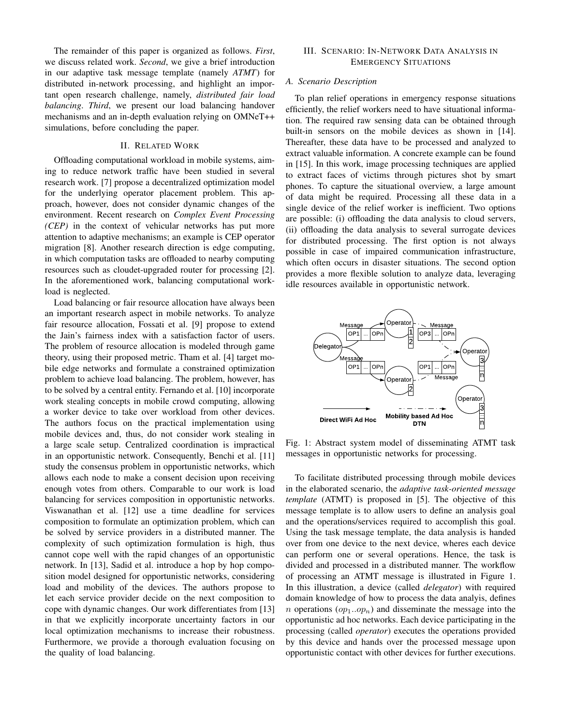The remainder of this paper is organized as follows. *First*, we discuss related work. *Second*, we give a brief introduction in our adaptive task message template (namely *ATMT*) for distributed in-network processing, and highlight an important open research challenge, namely, *distributed fair load balancing*. *Third*, we present our load balancing handover mechanisms and an in-depth evaluation relying on OMNeT++ simulations, before concluding the paper.

# II. RELATED WORK

Offloading computational workload in mobile systems, aiming to reduce network traffic have been studied in several research work. [7] propose a decentralized optimization model for the underlying operator placement problem. This approach, however, does not consider dynamic changes of the environment. Recent research on *Complex Event Processing (CEP)* in the context of vehicular networks has put more attention to adaptive mechanisms; an example is CEP operator migration [8]. Another research direction is edge computing, in which computation tasks are offloaded to nearby computing resources such as cloudet-upgraded router for processing [2]. In the aforementioned work, balancing computational workload is neglected.

Load balancing or fair resource allocation have always been an important research aspect in mobile networks. To analyze fair resource allocation, Fossati et al. [9] propose to extend the Jain's fairness index with a satisfaction factor of users. The problem of resource allocation is modeled through game theory, using their proposed metric. Tham et al. [4] target mobile edge networks and formulate a constrained optimization problem to achieve load balancing. The problem, however, has to be solved by a central entity. Fernando et al. [10] incorporate work stealing concepts in mobile crowd computing, allowing a worker device to take over workload from other devices. The authors focus on the practical implementation using mobile devices and, thus, do not consider work stealing in a large scale setup. Centralized coordination is impractical in an opportunistic network. Consequently, Benchi et al. [11] study the consensus problem in opportunistic networks, which allows each node to make a consent decision upon receiving enough votes from others. Comparable to our work is load balancing for services composition in opportunistic networks. Viswanathan et al. [12] use a time deadline for services composition to formulate an optimization problem, which can be solved by service providers in a distributed manner. The complexity of such optimization formulation is high, thus cannot cope well with the rapid changes of an opportunistic network. In [13], Sadid et al. introduce a hop by hop composition model designed for opportunistic networks, considering load and mobility of the devices. The authors propose to let each service provider decide on the next composition to cope with dynamic changes. Our work differentiates from [13] in that we explicitly incorporate uncertainty factors in our local optimization mechanisms to increase their robustness. Furthermore, we provide a thorough evaluation focusing on the quality of load balancing.

# III. SCENARIO: IN-NETWORK DATA ANALYSIS IN EMERGENCY SITUATIONS

## *A. Scenario Description*

To plan relief operations in emergency response situations efficiently, the relief workers need to have situational information. The required raw sensing data can be obtained through built-in sensors on the mobile devices as shown in [14]. Thereafter, these data have to be processed and analyzed to extract valuable information. A concrete example can be found in [15]. In this work, image processing techniques are applied to extract faces of victims through pictures shot by smart phones. To capture the situational overview, a large amount of data might be required. Processing all these data in a single device of the relief worker is inefficient. Two options are possible: (i) offloading the data analysis to cloud servers, (ii) offloading the data analysis to several surrogate devices for distributed processing. The first option is not always possible in case of impaired communication infrastructure, which often occurs in disaster situations. The second option provides a more flexible solution to analyze data, leveraging idle resources available in opportunistic network.



Fig. 1: Abstract system model of disseminating ATMT task messages in opportunistic networks for processing.

To facilitate distributed processing through mobile devices in the elaborated scenario, the *adaptive task-oriented message template* (ATMT) is proposed in [5]. The objective of this message template is to allow users to define an analysis goal and the operations/services required to accomplish this goal. Using the task message template, the data analysis is handed over from one device to the next device, wheres each device can perform one or several operations. Hence, the task is divided and processed in a distributed manner. The workflow of processing an ATMT message is illustrated in Figure 1. In this illustration, a device (called *delegator*) with required domain knowledge of how to process the data analyis, defines *n* operations  $(op_1..op_n)$  and disseminate the message into the opportunistic ad hoc networks. Each device participating in the processing (called *operator*) executes the operations provided by this device and hands over the processed message upon opportunistic contact with other devices for further executions.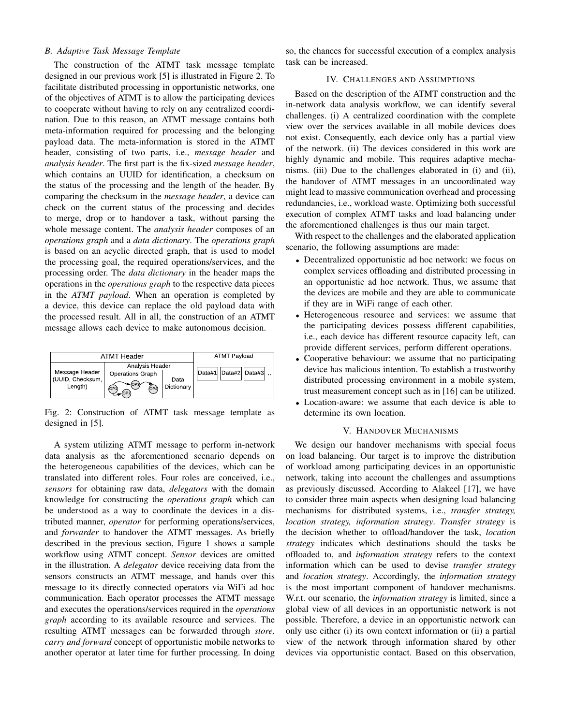# *B. Adaptive Task Message Template*

The construction of the ATMT task message template designed in our previous work [5] is illustrated in Figure 2. To facilitate distributed processing in opportunistic networks, one of the objectives of ATMT is to allow the participating devices to cooperate without having to rely on any centralized coordination. Due to this reason, an ATMT message contains both meta-information required for processing and the belonging payload data. The meta-information is stored in the ATMT header, consisting of two parts, i.e., *message header* and *analysis header*. The first part is the fix-sized *message header*, which contains an UUID for identification, a checksum on the status of the processing and the length of the header. By comparing the checksum in the *message header*, a device can check on the current status of the processing and decides to merge, drop or to handover a task, without parsing the whole message content. The *analysis header* composes of an *operations graph* and a *data dictionary*. The *operations graph* is based on an acyclic directed graph, that is used to model the processing goal, the required operations/services, and the processing order. The *data dictionary* in the header maps the operations in the *operations graph* to the respective data pieces in the *ATMT payload*. When an operation is completed by a device, this device can replace the old payload data with the processed result. All in all, the construction of an ATMT message allows each device to make autonomous decision.

| ATMT Header                        |                           |            | <b>ATMT Payload</b>    |
|------------------------------------|---------------------------|------------|------------------------|
|                                    | Analysis Header           |            |                        |
| Message Header<br>(UUID, Checksum, | <b>Operations Graph</b>   | Data       | Data#1  Data#2  Data#3 |
| Lenath)                            | $\sim$ (OP3<br>OP4<br>ſОP | Dictionary |                        |

Fig. 2: Construction of ATMT task message template as designed in [5].

A system utilizing ATMT message to perform in-network data analysis as the aforementioned scenario depends on the heterogeneous capabilities of the devices, which can be translated into different roles. Four roles are conceived, i.e., *sensors* for obtaining raw data, *delegators* with the domain knowledge for constructing the *operations graph* which can be understood as a way to coordinate the devices in a distributed manner, *operator* for performing operations/services, and *forwarder* to handover the ATMT messages. As briefly described in the previous section, Figure 1 shows a sample workflow using ATMT concept. *Sensor* devices are omitted in the illustration. A *delegator* device receiving data from the sensors constructs an ATMT message, and hands over this message to its directly connected operators via WiFi ad hoc communication. Each operator processes the ATMT message and executes the operations/services required in the *operations graph* according to its available resource and services. The resulting ATMT messages can be forwarded through *store, carry and forward* concept of opportunistic mobile networks to another operator at later time for further processing. In doing

so, the chances for successful execution of a complex analysis task can be increased.

# IV. CHALLENGES AND ASSUMPTIONS

Based on the description of the ATMT construction and the in-network data analysis workflow, we can identify several challenges. (i) A centralized coordination with the complete view over the services available in all mobile devices does not exist. Consequently, each device only has a partial view of the network. (ii) The devices considered in this work are highly dynamic and mobile. This requires adaptive mechanisms. (iii) Due to the challenges elaborated in (i) and (ii), the handover of ATMT messages in an uncoordinated way might lead to massive communication overhead and processing redundancies, i.e., workload waste. Optimizing both successful execution of complex ATMT tasks and load balancing under the aforementioned challenges is thus our main target.

With respect to the challenges and the elaborated application scenario, the following assumptions are made:

- Decentralized opportunistic ad hoc network: we focus on complex services offloading and distributed processing in an opportunistic ad hoc network. Thus, we assume that the devices are mobile and they are able to communicate if they are in WiFi range of each other.
- Heterogeneous resource and services: we assume that the participating devices possess different capabilities, i.e., each device has different resource capacity left, can provide different services, perform different operations.
- Cooperative behaviour: we assume that no participating device has malicious intention. To establish a trustworthy distributed processing environment in a mobile system, trust measurement concept such as in [16] can be utilized.
- Location-aware: we assume that each device is able to determine its own location.

# V. HANDOVER MECHANISMS

We design our handover mechanisms with special focus on load balancing. Our target is to improve the distribution of workload among participating devices in an opportunistic network, taking into account the challenges and assumptions as previously discussed. According to Alakeel [17], we have to consider three main aspects when designing load balancing mechanisms for distributed systems, i.e., *transfer strategy, location strategy, information strategy*. *Transfer strategy* is the decision whether to offload/handover the task, *location strategy* indicates which destinations should the tasks be offloaded to, and *information strategy* refers to the context information which can be used to devise *transfer strategy* and *location strategy*. Accordingly, the *information strategy* is the most important component of handover mechanisms. W.r.t. our scenario, the *information strategy* is limited, since a global view of all devices in an opportunistic network is not possible. Therefore, a device in an opportunistic network can only use either (i) its own context information or (ii) a partial view of the network through information shared by other devices via opportunistic contact. Based on this observation,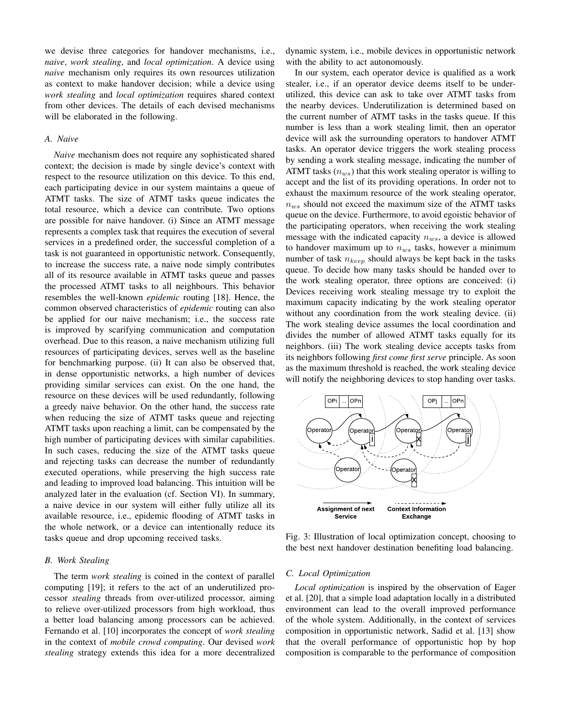we devise three categories for handover mechanisms, i.e., *naive*, *work stealing*, and *local optimization*. A device using *naive* mechanism only requires its own resources utilization as context to make handover decision; while a device using *work stealing* and *local optimization* requires shared context from other devices. The details of each devised mechanisms will be elaborated in the following.

#### *A. Naive*

*Naive* mechanism does not require any sophisticated shared context; the decision is made by single device's context with respect to the resource utilization on this device. To this end, each participating device in our system maintains a queue of ATMT tasks. The size of ATMT tasks queue indicates the total resource, which a device can contribute. Two options are possible for naive handover. (i) Since an ATMT message represents a complex task that requires the execution of several services in a predefined order, the successful completion of a task is not guaranteed in opportunistic network. Consequently, to increase the success rate, a naive node simply contributes all of its resource available in ATMT tasks queue and passes the processed ATMT tasks to all neighbours. This behavior resembles the well-known *epidemic* routing [18]. Hence, the common observed characteristics of *epidemic* routing can also be applied for our naive mechanism; i.e., the success rate is improved by scarifying communication and computation overhead. Due to this reason, a naive mechanism utilizing full resources of participating devices, serves well as the baseline for benchmarking purpose. (ii) It can also be observed that, in dense opportunistic networks, a high number of devices providing similar services can exist. On the one hand, the resource on these devices will be used redundantly, following a greedy naive behavior. On the other hand, the success rate when reducing the size of ATMT tasks queue and rejecting ATMT tasks upon reaching a limit, can be compensated by the high number of participating devices with similar capabilities. In such cases, reducing the size of the ATMT tasks queue and rejecting tasks can decrease the number of redundantly executed operations, while preserving the high success rate and leading to improved load balancing. This intuition will be analyzed later in the evaluation (cf. Section VI). In summary, a naive device in our system will either fully utilize all its available resource, i.e., epidemic flooding of ATMT tasks in the whole network, or a device can intentionally reduce its tasks queue and drop upcoming received tasks.

## *B. Work Stealing*

The term *work stealing* is coined in the context of parallel computing [19]; it refers to the act of an underutilized processor *stealing* threads from over-utilized processor, aiming to relieve over-utilized processors from high workload, thus a better load balancing among processors can be achieved. Fernando et al. [10] incorporates the concept of *work stealing* in the context of *mobile crowd computing*. Our devised *work stealing* strategy extends this idea for a more decentralized

dynamic system, i.e., mobile devices in opportunistic network with the ability to act autonomously.

In our system, each operator device is qualified as a work stealer, i.e., if an operator device deems itself to be underutilized, this device can ask to take over ATMT tasks from the nearby devices. Underutilization is determined based on the current number of ATMT tasks in the tasks queue. If this number is less than a work stealing limit, then an operator device will ask the surrounding operators to handover ATMT tasks. An operator device triggers the work stealing process by sending a work stealing message, indicating the number of ATMT tasks  $(n_{ws})$  that this work stealing operator is willing to accept and the list of its providing operations. In order not to exhaust the maximum resource of the work stealing operator,  $n_{ws}$  should not exceed the maximum size of the ATMT tasks queue on the device. Furthermore, to avoid egoistic behavior of the participating operators, when receiving the work stealing message with the indicated capacity  $n_{ws}$ , a device is allowed to handover maximum up to  $n_{ws}$  tasks, however a minimum number of task  $n_{keep}$  should always be kept back in the tasks queue. To decide how many tasks should be handed over to the work stealing operator, three options are conceived: (i) Devices receiving work stealing message try to exploit the maximum capacity indicating by the work stealing operator without any coordination from the work stealing device. (ii) The work stealing device assumes the local coordination and divides the number of allowed ATMT tasks equally for its neighbors. (iii) The work stealing device accepts tasks from its neighbors following *first come first serve* principle. As soon as the maximum threshold is reached, the work stealing device will notify the neighboring devices to stop handing over tasks.



Fig. 3: Illustration of local optimization concept, choosing to the best next handover destination benefiting load balancing.

## *C. Local Optimization*

*Local optimization* is inspired by the observation of Eager et al. [20], that a simple load adaptation locally in a distributed environment can lead to the overall improved performance of the whole system. Additionally, in the context of services composition in opportunistic network, Sadid et al. [13] show that the overall performance of opportunistic hop by hop composition is comparable to the performance of composition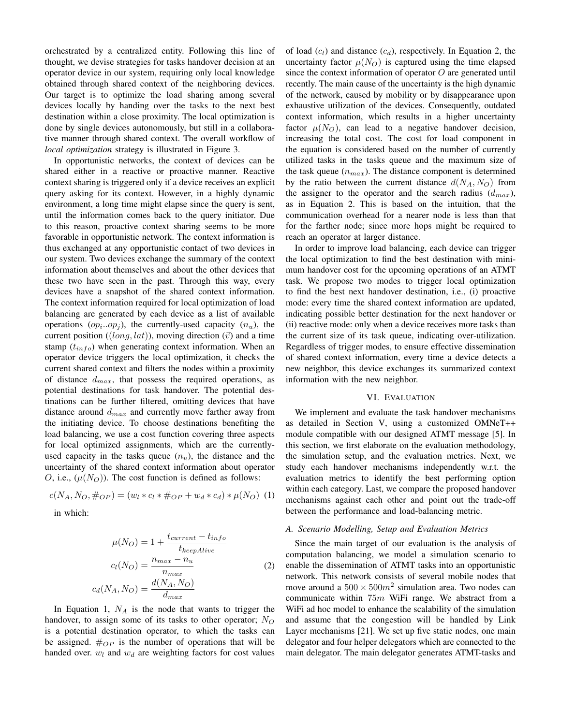orchestrated by a centralized entity. Following this line of thought, we devise strategies for tasks handover decision at an operator device in our system, requiring only local knowledge obtained through shared context of the neighboring devices. Our target is to optimize the load sharing among several devices locally by handing over the tasks to the next best destination within a close proximity. The local optimization is done by single devices autonomously, but still in a collaborative manner through shared context. The overall workflow of *local optimization* strategy is illustrated in Figure 3.

In opportunistic networks, the context of devices can be shared either in a reactive or proactive manner. Reactive context sharing is triggered only if a device receives an explicit query asking for its context. However, in a highly dynamic environment, a long time might elapse since the query is sent, until the information comes back to the query initiator. Due to this reason, proactive context sharing seems to be more favorable in opportunistic network. The context information is thus exchanged at any opportunistic contact of two devices in our system. Two devices exchange the summary of the context information about themselves and about the other devices that these two have seen in the past. Through this way, every devices have a snapshot of the shared context information. The context information required for local optimization of load balancing are generated by each device as a list of available operations  $(op_i. op_j)$ , the currently-used capacity  $(n_u)$ , the current position ((long, lat)), moving direction ( $\vec{v}$ ) and a time stamp  $(t_{info})$  when generating context information. When an operator device triggers the local optimization, it checks the current shared context and filters the nodes within a proximity of distance  $d_{max}$ , that possess the required operations, as potential destinations for task handover. The potential destinations can be further filtered, omitting devices that have distance around  $d_{max}$  and currently move farther away from the initiating device. To choose destinations benefiting the load balancing, we use a cost function covering three aspects for local optimized assignments, which are the currentlyused capacity in the tasks queue  $(n_u)$ , the distance and the uncertainty of the shared context information about operator O, i.e.,  $(\mu(N<sub>O</sub>))$ . The cost function is defined as follows:

$$
c(N_A, N_O, \#_{OP}) = (w_l * c_l * \#_{OP} + w_d * c_d) * \mu(N_O) \tag{1}
$$

in which:

$$
\mu(N_O) = 1 + \frac{t_{current} - t_{info}}{t_{keepAlive}}
$$

$$
c_l(N_O) = \frac{n_{max} - n_u}{n_{max}}
$$
(2)
$$
c_d(N_A, N_O) = \frac{d(N_A, N_O)}{d_{max}}
$$

In Equation 1,  $N_A$  is the node that wants to trigger the handover, to assign some of its tasks to other operator;  $N_O$ is a potential destination operator, to which the tasks can be assigned.  $\#_{OP}$  is the number of operations that will be handed over.  $w_l$  and  $w_d$  are weighting factors for cost values of load  $(c_l)$  and distance  $(c_d)$ , respectively. In Equation 2, the uncertainty factor  $\mu(N_O)$  is captured using the time elapsed since the context information of operator  $O$  are generated until recently. The main cause of the uncertainty is the high dynamic of the network, caused by mobility or by disappearance upon exhaustive utilization of the devices. Consequently, outdated context information, which results in a higher uncertainty factor  $\mu(N_O)$ , can lead to a negative handover decision, increasing the total cost. The cost for load component in the equation is considered based on the number of currently utilized tasks in the tasks queue and the maximum size of the task queue  $(n_{max})$ . The distance component is determined by the ratio between the current distance  $d(N_A, N_O)$  from the assigner to the operator and the search radius  $(d_{max})$ , as in Equation 2. This is based on the intuition, that the communication overhead for a nearer node is less than that for the farther node; since more hops might be required to reach an operator at larger distance.

In order to improve load balancing, each device can trigger the local optimization to find the best destination with minimum handover cost for the upcoming operations of an ATMT task. We propose two modes to trigger local optimization to find the best next handover destination, i.e., (i) proactive mode: every time the shared context information are updated, indicating possible better destination for the next handover or (ii) reactive mode: only when a device receives more tasks than the current size of its task queue, indicating over-utilization. Regardless of trigger modes, to ensure effective dissemination of shared context information, every time a device detects a new neighbor, this device exchanges its summarized context information with the new neighbor.

### VI. EVALUATION

We implement and evaluate the task handover mechanisms as detailed in Section V, using a customized OMNeT++ module compatible with our designed ATMT message [5]. In this section, we first elaborate on the evaluation methodology, the simulation setup, and the evaluation metrics. Next, we study each handover mechanisms independently w.r.t. the evaluation metrics to identify the best performing option within each category. Last, we compare the proposed handover mechanisms against each other and point out the trade-off between the performance and load-balancing metric.

## *A. Scenario Modelling, Setup and Evaluation Metrics*

Since the main target of our evaluation is the analysis of computation balancing, we model a simulation scenario to enable the dissemination of ATMT tasks into an opportunistic network. This network consists of several mobile nodes that move around a  $500 \times 500m^2$  simulation area. Two nodes can communicate within  $75m$  WiFi range. We abstract from a WiFi ad hoc model to enhance the scalability of the simulation and assume that the congestion will be handled by Link Layer mechanisms [21]. We set up five static nodes, one main delegator and four helper delegators which are connected to the main delegator. The main delegator generates ATMT-tasks and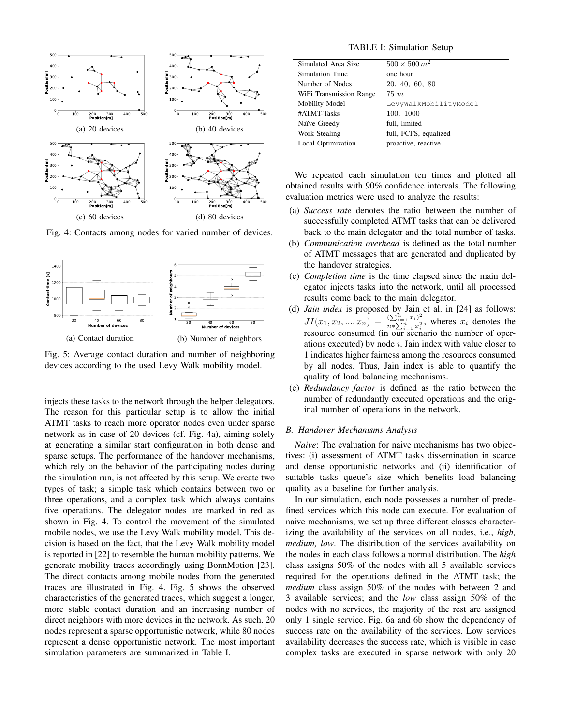

Fig. 4: Contacts among nodes for varied number of devices.



Fig. 5: Average contact duration and number of neighboring devices according to the used Levy Walk mobility model.

injects these tasks to the network through the helper delegators. The reason for this particular setup is to allow the initial ATMT tasks to reach more operator nodes even under sparse network as in case of 20 devices (cf. Fig. 4a), aiming solely at generating a similar start configuration in both dense and sparse setups. The performance of the handover mechanisms, which rely on the behavior of the participating nodes during the simulation run, is not affected by this setup. We create two types of task; a simple task which contains between two or three operations, and a complex task which always contains five operations. The delegator nodes are marked in red as shown in Fig. 4. To control the movement of the simulated mobile nodes, we use the Levy Walk mobility model. This decision is based on the fact, that the Levy Walk mobility model is reported in [22] to resemble the human mobility patterns. We generate mobility traces accordingly using BonnMotion [23]. The direct contacts among mobile nodes from the generated traces are illustrated in Fig. 4. Fig. 5 shows the observed characteristics of the generated traces, which suggest a longer, more stable contact duration and an increasing number of direct neighbors with more devices in the network. As such, 20 nodes represent a sparse opportunistic network, while 80 nodes represent a dense opportunistic network. The most important simulation parameters are summarized in Table I.

TABLE I: Simulation Setup

| Simulated Area Size     | $500 \times 500 \, m^2$ |  |  |
|-------------------------|-------------------------|--|--|
| Simulation Time         | one hour                |  |  |
| Number of Nodes         | 20, 40, 60, 80          |  |  |
| WiFi Transmission Range | $75 \; m$               |  |  |
| Mobility Model          | LevyWalkMobilityModel   |  |  |
| #ATMT-Tasks             | 100, 1000               |  |  |
| Naïve Greedy            | full, limited           |  |  |
| Work Stealing           | full, FCFS, equalized   |  |  |
| Local Optimization      | proactive, reactive     |  |  |

We repeated each simulation ten times and plotted all obtained results with 90% confidence intervals. The following evaluation metrics were used to analyze the results:

- (a) *Success rate* denotes the ratio between the number of successfully completed ATMT tasks that can be delivered back to the main delegator and the total number of tasks.
- (b) *Communication overhead* is defined as the total number of ATMT messages that are generated and duplicated by the handover strategies.
- (c) *Completion time* is the time elapsed since the main delegator injects tasks into the network, until all processed results come back to the main delegator.
- (d) *Jain index* is proposed by Jain et al. in [24] as follows:  $JI(x_1, x_2, ..., x_n) = \frac{\left(\sum_{i=1}^n x_i\right)^2}{n \times \sum_{i=1}^n x_i^2}$  $\frac{(\sum_{i=1}^{i} x_i)}{n * \sum_{i=1}^{n} x_i^2}$ , wheres  $x_i$  denotes the resource consumed (in our scenario the number of operations executed) by node  $i$ . Jain index with value closer to 1 indicates higher fairness among the resources consumed by all nodes. Thus, Jain index is able to quantify the quality of load balancing mechanisms.
- (e) *Redundancy factor* is defined as the ratio between the number of redundantly executed operations and the original number of operations in the network.

#### *B. Handover Mechanisms Analysis*

*Naive*: The evaluation for naive mechanisms has two objectives: (i) assessment of ATMT tasks dissemination in scarce and dense opportunistic networks and (ii) identification of suitable tasks queue's size which benefits load balancing quality as a baseline for further analysis.

In our simulation, each node possesses a number of predefined services which this node can execute. For evaluation of naive mechanisms, we set up three different classes characterizing the availability of the services on all nodes, i.e., *high, medium, low*. The distribution of the services availability on the nodes in each class follows a normal distribution. The *high* class assigns 50% of the nodes with all 5 available services required for the operations defined in the ATMT task; the *medium* class assign 50% of the nodes with between 2 and 3 available services; and the *low* class assign 50% of the nodes with no services, the majority of the rest are assigned only 1 single service. Fig. 6a and 6b show the dependency of success rate on the availability of the services. Low services availability decreases the success rate, which is visible in case complex tasks are executed in sparse network with only 20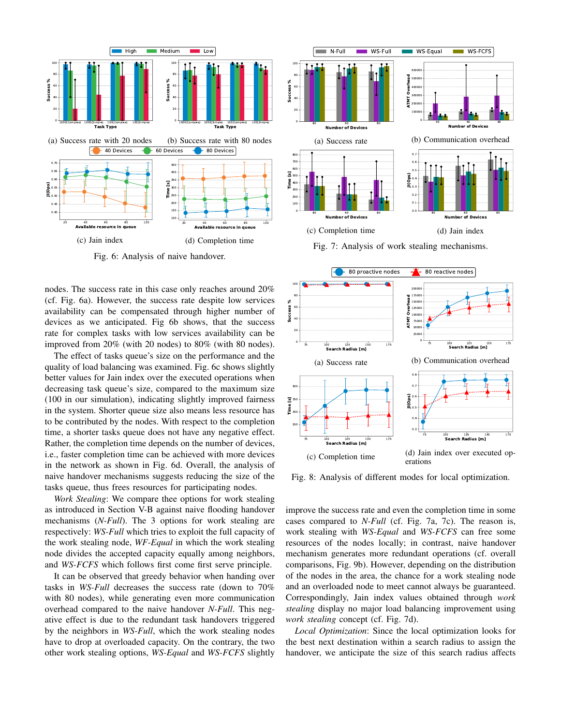

Fig. 6: Analysis of naive handover.

nodes. The success rate in this case only reaches around 20% (cf. Fig. 6a). However, the success rate despite low services availability can be compensated through higher number of devices as we anticipated. Fig 6b shows, that the success rate for complex tasks with low services availability can be improved from 20% (with 20 nodes) to 80% (with 80 nodes).

The effect of tasks queue's size on the performance and the quality of load balancing was examined. Fig. 6c shows slightly better values for Jain index over the executed operations when decreasing task queue's size, compared to the maximum size (100 in our simulation), indicating slightly improved fairness in the system. Shorter queue size also means less resource has to be contributed by the nodes. With respect to the completion time, a shorter tasks queue does not have any negative effect. Rather, the completion time depends on the number of devices, i.e., faster completion time can be achieved with more devices in the network as shown in Fig. 6d. Overall, the analysis of naive handover mechanisms suggests reducing the size of the tasks queue, thus frees resources for participating nodes.

*Work Stealing*: We compare thee options for work stealing as introduced in Section V-B against naive flooding handover mechanisms (*N-Full*). The 3 options for work stealing are respectively: *WS-Full* which tries to exploit the full capacity of the work stealing node, *WF-Equal* in which the work stealing node divides the accepted capacity equally among neighbors, and *WS-FCFS* which follows first come first serve principle.

It can be observed that greedy behavior when handing over tasks in *WS-Full* decreases the success rate (down to 70% with 80 nodes), while generating even more communication overhead compared to the naive handover *N-Full*. This negative effect is due to the redundant task handovers triggered by the neighbors in *WS-Full*, which the work stealing nodes have to drop at overloaded capacity. On the contrary, the two other work stealing options, *WS-Equal* and *WS-FCFS* slightly







Fig. 8: Analysis of different modes for local optimization.

improve the success rate and even the completion time in some cases compared to *N-Full* (cf. Fig. 7a, 7c). The reason is, work stealing with *WS-Equal* and *WS-FCFS* can free some resources of the nodes locally; in contrast, naive handover mechanism generates more redundant operations (cf. overall comparisons, Fig. 9b). However, depending on the distribution of the nodes in the area, the chance for a work stealing node and an overloaded node to meet cannot always be guaranteed. Correspondingly, Jain index values obtained through *work stealing* display no major load balancing improvement using *work stealing* concept (cf. Fig. 7d).

*Local Optimization*: Since the local optimization looks for the best next destination within a search radius to assign the handover, we anticipate the size of this search radius affects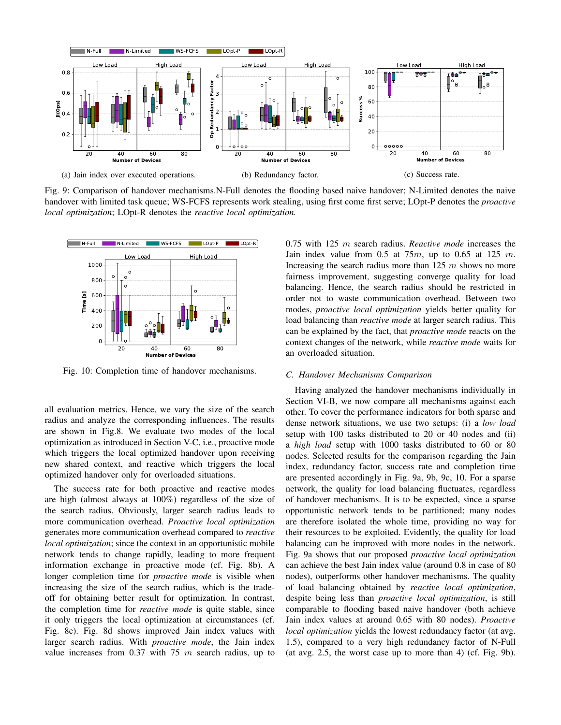

Fig. 9: Comparison of handover mechanisms.N-Full denotes the flooding based naive handover; N-Limited denotes the naive handover with limited task queue; WS-FCFS represents work stealing, using first come first serve; LOpt-P denotes the *proactive local optimization*; LOpt-R denotes the *reactive local optimization.*



Fig. 10: Completion time of handover mechanisms.

all evaluation metrics. Hence, we vary the size of the search radius and analyze the corresponding influences. The results are shown in Fig.8. We evaluate two modes of the local optimization as introduced in Section V-C, i.e., proactive mode which triggers the local optimized handover upon receiving new shared context, and reactive which triggers the local optimized handover only for overloaded situations.

The success rate for both proactive and reactive modes are high (almost always at 100%) regardless of the size of the search radius. Obviously, larger search radius leads to more communication overhead. *Proactive local optimization* generates more communication overhead compared to *reactive local optimization*; since the context in an opportunistic mobile network tends to change rapidly, leading to more frequent information exchange in proactive mode (cf. Fig. 8b). A longer completion time for *proactive mode* is visible when increasing the size of the search radius, which is the tradeoff for obtaining better result for optimization. In contrast, the completion time for *reactive mode* is quite stable, since it only triggers the local optimization at circumstances (cf. Fig. 8c). Fig. 8d shows improved Jain index values with larger search radius. With *proactive mode*, the Jain index value increases from 0.37 with 75  $m$  search radius, up to 0.75 with 125 m search radius. *Reactive mode* increases the Jain index value from  $0.5$  at  $75m$ , up to  $0.65$  at  $125 m$ . Increasing the search radius more than  $125 \, m$  shows no more fairness improvement, suggesting converge quality for load balancing. Hence, the search radius should be restricted in order not to waste communication overhead. Between two modes, *proactive local optimization* yields better quality for load balancing than *reactive mode* at larger search radius. This can be explained by the fact, that *proactive mode* reacts on the context changes of the network, while *reactive mode* waits for an overloaded situation.

#### *C. Handover Mechanisms Comparison*

Having analyzed the handover mechanisms individually in Section VI-B, we now compare all mechanisms against each other. To cover the performance indicators for both sparse and dense network situations, we use two setups: (i) a *low load* setup with 100 tasks distributed to 20 or 40 nodes and (ii) a *high load* setup with 1000 tasks distributed to 60 or 80 nodes. Selected results for the comparison regarding the Jain index, redundancy factor, success rate and completion time are presented accordingly in Fig. 9a, 9b, 9c, 10. For a sparse network, the quality for load balancing fluctuates, regardless of handover mechanisms. It is to be expected, since a sparse opportunistic network tends to be partitioned; many nodes are therefore isolated the whole time, providing no way for their resources to be exploited. Evidently, the quality for load balancing can be improved with more nodes in the network. Fig. 9a shows that our proposed *proactive local optimization* can achieve the best Jain index value (around 0.8 in case of 80 nodes), outperforms other handover mechanisms. The quality of load balancing obtained by *reactive local optimization*, despite being less than *proactive local optimization*, is still comparable to flooding based naive handover (both achieve Jain index values at around 0.65 with 80 nodes). *Proactive local optimization* yields the lowest redundancy factor (at avg. 1.5), compared to a very high redundancy factor of N-Full (at avg. 2.5, the worst case up to more than 4) (cf. Fig. 9b).